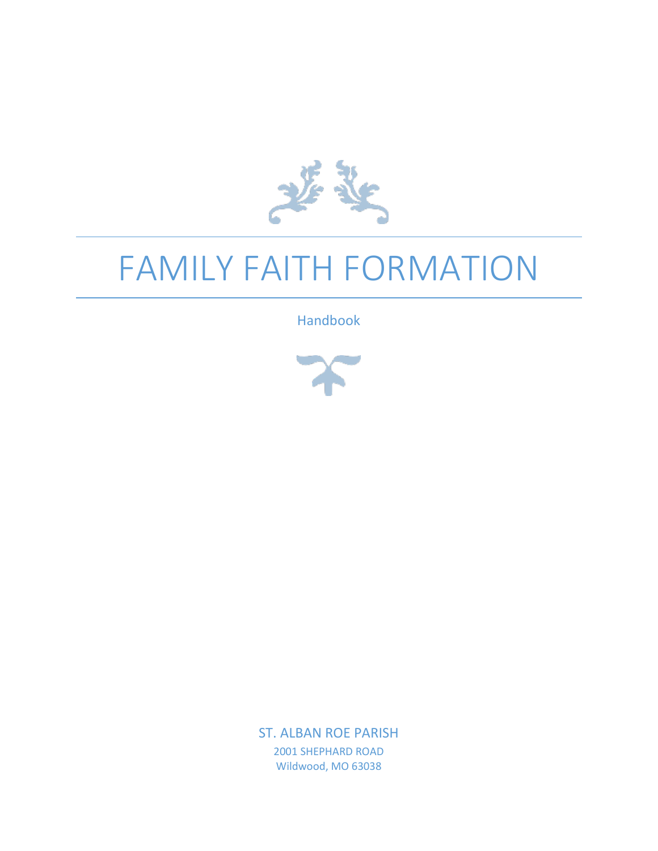

# FAMILY FAITH FORMATION

Handbook



ST. ALBAN ROE PARISH 2001 SHEPHARD ROAD Wildwood, MO 63038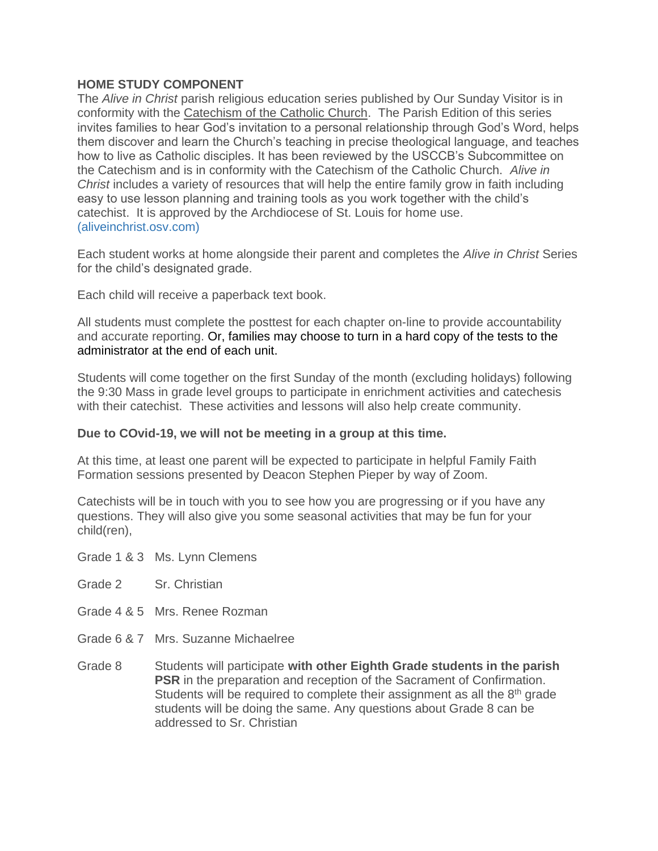#### **HOME STUDY COMPONENT**

The *Alive in Christ* parish religious education series published by Our Sunday Visitor is in conformity with the Catechism of the Catholic Church. The Parish Edition of this series invites families to hear God's invitation to a personal relationship through God's Word, helps them discover and learn the Church's teaching in precise theological language, and teaches how to live as Catholic disciples. It has been reviewed by the USCCB's Subcommittee on the Catechism and is in conformity with the Catechism of the Catholic Church. *Alive in Christ* includes a variety of resources that will help the entire family grow in faith including easy to use lesson planning and training tools as you work together with the child's catechist. It is approved by the Archdiocese of St. Louis for home use. (aliveinchrist.osv.com)

Each student works at home alongside their parent and completes the *Alive in Christ* Series for the child's designated grade.

Each child will receive a paperback text book.

All students must complete the posttest for each chapter on-line to provide accountability and accurate reporting. Or, families may choose to turn in a hard copy of the tests to the administrator at the end of each unit.

Students will come together on the first Sunday of the month (excluding holidays) following the 9:30 Mass in grade level groups to participate in enrichment activities and catechesis with their catechist. These activities and lessons will also help create community.

#### **Due to COvid-19, we will not be meeting in a group at this time.**

At this time, at least one parent will be expected to participate in helpful Family Faith Formation sessions presented by Deacon Stephen Pieper by way of Zoom.

Catechists will be in touch with you to see how you are progressing or if you have any questions. They will also give you some seasonal activities that may be fun for your child(ren),

Grade 1 & 3 Ms. Lynn Clemens

- Grade 2 Sr. Christian
- Grade 4 & 5 Mrs. Renee Rozman
- Grade 6 & 7 Mrs. Suzanne Michaelree
- Grade 8 Students will participate **with other Eighth Grade students in the parish PSR** in the preparation and reception of the Sacrament of Confirmation. Students will be required to complete their assignment as all the 8<sup>th</sup> grade students will be doing the same. Any questions about Grade 8 can be addressed to Sr. Christian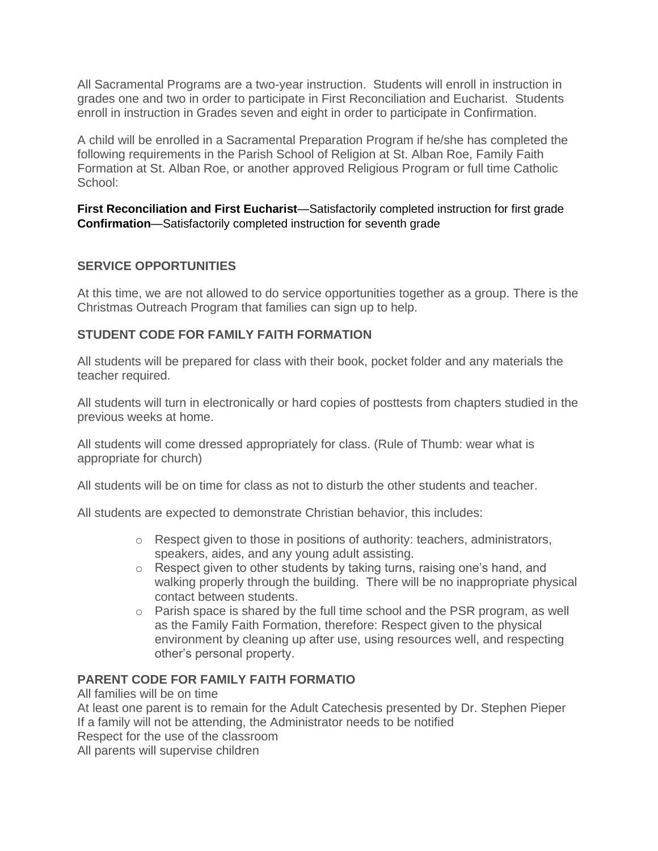All Sacramental Programs are a two-year instruction. Students will enroll in instruction in grades one and two in order to participate in First Reconciliation and Eucharist. Students enroll in instruction in Grades seven and eight in order to participate in Confirmation.

A child will be enrolled in a Sacramental Preparation Program if he/she has completed the following requirements in the Parish School of Religion at St. Alban Roe, Family Faith Formation at St. Alban Roe, or another approved Religious Program or full time Catholic School:

**First Reconciliation and First Eucharist**—Satisfactorily completed instruction for first grade **Confirmation**—Satisfactorily completed instruction for seventh grade

## **SERVICE OPPORTUNITIES**

At this time, we are not allowed to do service opportunities together as a group. There is the Christmas Outreach Program that families can sign up to help.

## **STUDENT CODE FOR FAMILY FAITH FORMATION**

All students will be prepared for class with their book, pocket folder and any materials the teacher required.

All students will turn in electronically or hard copies of posttests from chapters studied in the previous weeks at home.

All students will come dressed appropriately for class. (Rule of Thumb: wear what is appropriate for church)

All students will be on time for class as not to disturb the other students and teacher.

All students are expected to demonstrate Christian behavior, this includes:

- $\circ$  Respect given to those in positions of authority: teachers, administrators, speakers, aides, and any young adult assisting.
- o Respect given to other students by taking turns, raising one's hand, and walking properly through the building. There will be no inappropriate physical contact between students.
- $\circ$  Parish space is shared by the full time school and the PSR program, as well as the Family Faith Formation, therefore: Respect given to the physical environment by cleaning up after use, using resources well, and respecting other's personal property.

## **PARENT CODE FOR FAMILY FAITH FORMATIO**

All families will be on time

At least one parent is to remain for the Adult Catechesis presented by Dr. Stephen Pieper If a family will not be attending, the Administrator needs to be notified Respect for the use of the classroom

All parents will supervise children